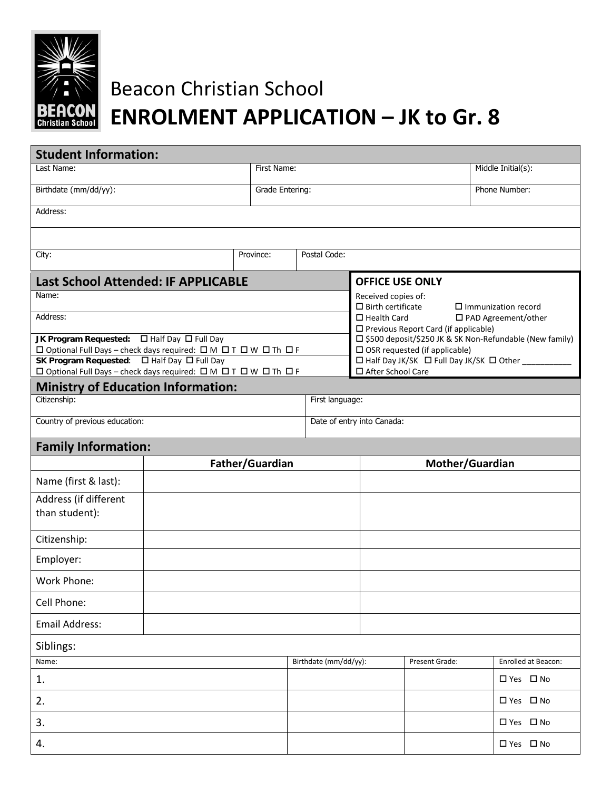

## Beacon Christian School **ENROLMENT APPLICATION – JK to Gr. 8**

| <b>Student Information:</b>                                      |                           |                        |                       |                                                                                                |                 |                     |  |  |
|------------------------------------------------------------------|---------------------------|------------------------|-----------------------|------------------------------------------------------------------------------------------------|-----------------|---------------------|--|--|
| Last Name:                                                       |                           |                        | First Name:           |                                                                                                |                 | Middle Initial(s):  |  |  |
| Birthdate (mm/dd/yy):                                            |                           |                        | Grade Entering:       |                                                                                                |                 | Phone Number:       |  |  |
| Address:                                                         |                           |                        |                       |                                                                                                |                 |                     |  |  |
|                                                                  |                           |                        |                       |                                                                                                |                 |                     |  |  |
| City:                                                            | Postal Code:<br>Province: |                        |                       |                                                                                                |                 |                     |  |  |
| <b>Last School Attended: IF APPLICABLE</b>                       |                           | <b>OFFICE USE ONLY</b> |                       |                                                                                                |                 |                     |  |  |
| Name:                                                            |                           |                        |                       | Received copies of:<br>$\square$ Birth certificate<br>$\Box$ Immunization record               |                 |                     |  |  |
| Address:                                                         |                           |                        |                       | □ Health Card<br>□ PAD Agreement/other<br>□ Previous Report Card (if applicable)               |                 |                     |  |  |
| JK Program Requested:<br>$\square$ Half Day $\square$ Full Day   |                           |                        |                       | □ \$500 deposit/\$250 JK & SK Non-Refundable (New family)                                      |                 |                     |  |  |
| □ Optional Full Days - check days required: □ M □ T □ W □ Th □ F |                           |                        |                       | $\square$ OSR requested (if applicable)<br>□ Half Day JK/SK □ Full Day JK/SK □ Other _________ |                 |                     |  |  |
| □ Optional Full Days - check days required: □ M □ T □ W □ Th □ F |                           |                        |                       | □ After School Care                                                                            |                 |                     |  |  |
| <b>Ministry of Education Information:</b><br>Citizenship:        |                           |                        | First language:       |                                                                                                |                 |                     |  |  |
| Country of previous education:                                   |                           |                        |                       | Date of entry into Canada:                                                                     |                 |                     |  |  |
| <b>Family Information:</b>                                       |                           |                        |                       |                                                                                                |                 |                     |  |  |
|                                                                  | Father/Guardian           |                        |                       |                                                                                                | Mother/Guardian |                     |  |  |
| Name (first & last):                                             |                           |                        |                       |                                                                                                |                 |                     |  |  |
| Address (if different<br>than student):                          |                           |                        |                       |                                                                                                |                 |                     |  |  |
|                                                                  |                           |                        |                       |                                                                                                |                 |                     |  |  |
| Citizenship:                                                     |                           |                        |                       |                                                                                                |                 |                     |  |  |
| Employer:                                                        |                           |                        |                       |                                                                                                |                 |                     |  |  |
|                                                                  |                           |                        |                       |                                                                                                |                 |                     |  |  |
| Work Phone:                                                      |                           |                        |                       |                                                                                                |                 |                     |  |  |
| Cell Phone:                                                      |                           |                        |                       |                                                                                                |                 |                     |  |  |
| <b>Email Address:</b>                                            |                           |                        |                       |                                                                                                |                 |                     |  |  |
| Siblings:                                                        |                           |                        |                       |                                                                                                |                 |                     |  |  |
| Name:                                                            |                           |                        | Birthdate (mm/dd/yy): | Present Grade:                                                                                 |                 | Enrolled at Beacon: |  |  |
| 1.                                                               |                           |                        |                       |                                                                                                |                 | □ Yes □ No          |  |  |
| 2.                                                               |                           |                        |                       |                                                                                                |                 | □ Yes □ No          |  |  |
| 3.                                                               |                           |                        |                       |                                                                                                |                 | □ Yes □ No          |  |  |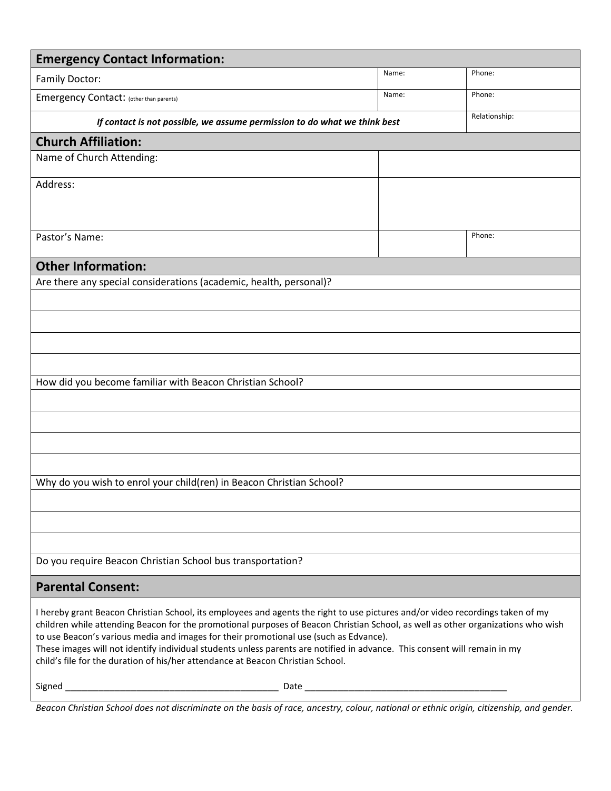| <b>Emergency Contact Information:</b>                                                                                                                                                                                                                                                                                                                                                                                                                                                                                                                                       |       |               |  |  |
|-----------------------------------------------------------------------------------------------------------------------------------------------------------------------------------------------------------------------------------------------------------------------------------------------------------------------------------------------------------------------------------------------------------------------------------------------------------------------------------------------------------------------------------------------------------------------------|-------|---------------|--|--|
| <b>Family Doctor:</b>                                                                                                                                                                                                                                                                                                                                                                                                                                                                                                                                                       | Name: | Phone:        |  |  |
| Emergency Contact: (other than parents)                                                                                                                                                                                                                                                                                                                                                                                                                                                                                                                                     | Name: | Phone:        |  |  |
| If contact is not possible, we assume permission to do what we think best                                                                                                                                                                                                                                                                                                                                                                                                                                                                                                   |       | Relationship: |  |  |
| <b>Church Affiliation:</b>                                                                                                                                                                                                                                                                                                                                                                                                                                                                                                                                                  |       |               |  |  |
| Name of Church Attending:                                                                                                                                                                                                                                                                                                                                                                                                                                                                                                                                                   |       |               |  |  |
| Address:                                                                                                                                                                                                                                                                                                                                                                                                                                                                                                                                                                    |       |               |  |  |
|                                                                                                                                                                                                                                                                                                                                                                                                                                                                                                                                                                             |       |               |  |  |
| Pastor's Name:                                                                                                                                                                                                                                                                                                                                                                                                                                                                                                                                                              |       | Phone:        |  |  |
| <b>Other Information:</b>                                                                                                                                                                                                                                                                                                                                                                                                                                                                                                                                                   |       |               |  |  |
| Are there any special considerations (academic, health, personal)?                                                                                                                                                                                                                                                                                                                                                                                                                                                                                                          |       |               |  |  |
|                                                                                                                                                                                                                                                                                                                                                                                                                                                                                                                                                                             |       |               |  |  |
|                                                                                                                                                                                                                                                                                                                                                                                                                                                                                                                                                                             |       |               |  |  |
|                                                                                                                                                                                                                                                                                                                                                                                                                                                                                                                                                                             |       |               |  |  |
|                                                                                                                                                                                                                                                                                                                                                                                                                                                                                                                                                                             |       |               |  |  |
| How did you become familiar with Beacon Christian School?                                                                                                                                                                                                                                                                                                                                                                                                                                                                                                                   |       |               |  |  |
|                                                                                                                                                                                                                                                                                                                                                                                                                                                                                                                                                                             |       |               |  |  |
|                                                                                                                                                                                                                                                                                                                                                                                                                                                                                                                                                                             |       |               |  |  |
|                                                                                                                                                                                                                                                                                                                                                                                                                                                                                                                                                                             |       |               |  |  |
|                                                                                                                                                                                                                                                                                                                                                                                                                                                                                                                                                                             |       |               |  |  |
| Why do you wish to enrol your child(ren) in Beacon Christian School?                                                                                                                                                                                                                                                                                                                                                                                                                                                                                                        |       |               |  |  |
|                                                                                                                                                                                                                                                                                                                                                                                                                                                                                                                                                                             |       |               |  |  |
|                                                                                                                                                                                                                                                                                                                                                                                                                                                                                                                                                                             |       |               |  |  |
|                                                                                                                                                                                                                                                                                                                                                                                                                                                                                                                                                                             |       |               |  |  |
| Do you require Beacon Christian School bus transportation?                                                                                                                                                                                                                                                                                                                                                                                                                                                                                                                  |       |               |  |  |
| <b>Parental Consent:</b>                                                                                                                                                                                                                                                                                                                                                                                                                                                                                                                                                    |       |               |  |  |
| I hereby grant Beacon Christian School, its employees and agents the right to use pictures and/or video recordings taken of my<br>children while attending Beacon for the promotional purposes of Beacon Christian School, as well as other organizations who wish<br>to use Beacon's various media and images for their promotional use (such as Edvance).<br>These images will not identify individual students unless parents are notified in advance. This consent will remain in my<br>child's file for the duration of his/her attendance at Beacon Christian School. |       |               |  |  |
|                                                                                                                                                                                                                                                                                                                                                                                                                                                                                                                                                                             |       |               |  |  |

*Beacon Christian School does not discriminate on the basis of race, ancestry, colour, national or ethnic origin, citizenship, and gender.*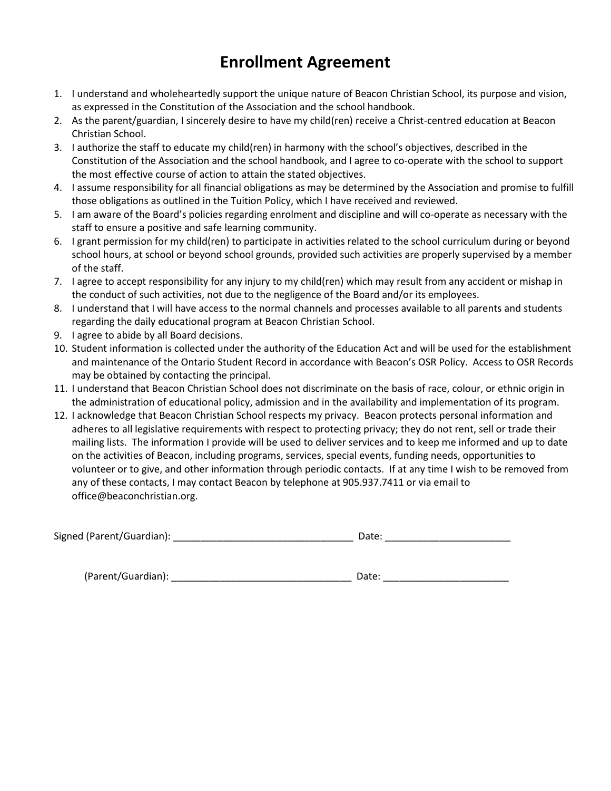## **Enrollment Agreement**

- 1. I understand and wholeheartedly support the unique nature of Beacon Christian School, its purpose and vision, as expressed in the Constitution of the Association and the school handbook.
- 2. As the parent/guardian, I sincerely desire to have my child(ren) receive a Christ-centred education at Beacon Christian School.
- 3. I authorize the staff to educate my child(ren) in harmony with the school's objectives, described in the Constitution of the Association and the school handbook, and I agree to co-operate with the school to support the most effective course of action to attain the stated objectives.
- 4. I assume responsibility for all financial obligations as may be determined by the Association and promise to fulfill those obligations as outlined in the Tuition Policy, which I have received and reviewed.
- 5. I am aware of the Board's policies regarding enrolment and discipline and will co-operate as necessary with the staff to ensure a positive and safe learning community.
- 6. I grant permission for my child(ren) to participate in activities related to the school curriculum during or beyond school hours, at school or beyond school grounds, provided such activities are properly supervised by a member of the staff.
- 7. I agree to accept responsibility for any injury to my child(ren) which may result from any accident or mishap in the conduct of such activities, not due to the negligence of the Board and/or its employees.
- 8. I understand that I will have access to the normal channels and processes available to all parents and students regarding the daily educational program at Beacon Christian School.
- 9. I agree to abide by all Board decisions.
- 10. Student information is collected under the authority of the Education Act and will be used for the establishment and maintenance of the Ontario Student Record in accordance with Beacon's OSR Policy. Access to OSR Records may be obtained by contacting the principal.
- 11. I understand that Beacon Christian School does not discriminate on the basis of race, colour, or ethnic origin in the administration of educational policy, admission and in the availability and implementation of its program.
- 12. I acknowledge that Beacon Christian School respects my privacy. Beacon protects personal information and adheres to all legislative requirements with respect to protecting privacy; they do not rent, sell or trade their mailing lists. The information I provide will be used to deliver services and to keep me informed and up to date on the activities of Beacon, including programs, services, special events, funding needs, opportunities to volunteer or to give, and other information through periodic contacts. If at any time I wish to be removed from any of these contacts, I may contact Beacon by telephone at 905.937.7411 or via email to office@beaconchristian.org.

| (Parent/Guardian): | Date. |
|--------------------|-------|
|--------------------|-------|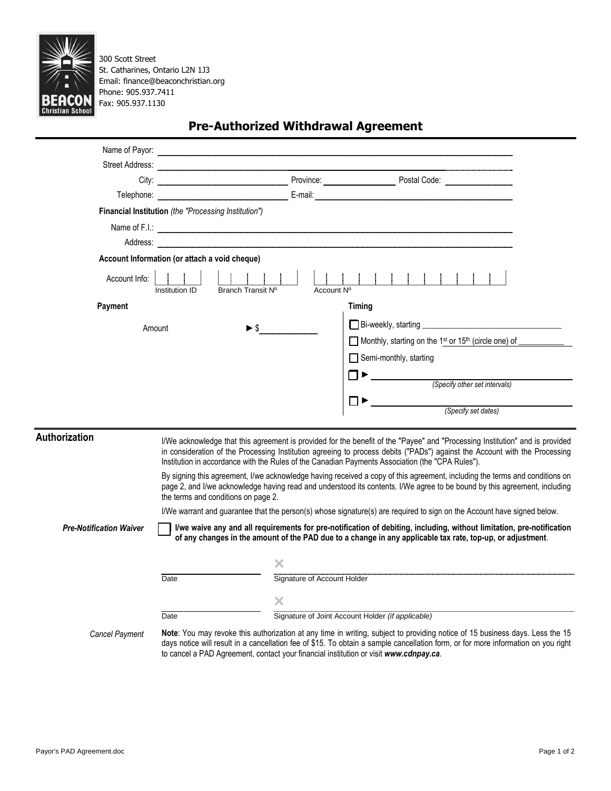

300 Scott Street St. Catharines, Ontario L2N 1J3 Email: finance@beaconchristian.org Phone: 905.937.7411 Fax: 905.937.1130

|                                |                                                             |            | Telephone: <b>Maria Communication Communication</b> E-mail: E-mail: E-mail: E-mail: E-mail: E-mail: E-mail: E-mail: E-mail: E-mail: E-mail: E-mail: E-mail: E-mail: E-mail: E-mail: E-mail: E-mail: E-mail: E-mail: E-mail: E-mail:                                                                                                                                                                                                                                                           |
|--------------------------------|-------------------------------------------------------------|------------|-----------------------------------------------------------------------------------------------------------------------------------------------------------------------------------------------------------------------------------------------------------------------------------------------------------------------------------------------------------------------------------------------------------------------------------------------------------------------------------------------|
|                                | <b>Financial Institution</b> (the "Processing Institution") |            |                                                                                                                                                                                                                                                                                                                                                                                                                                                                                               |
|                                |                                                             |            | Name of F.I.: <b>Constitution of the Constitution</b> of F.I.: <b>Constitution</b> of F.I.:                                                                                                                                                                                                                                                                                                                                                                                                   |
|                                |                                                             |            |                                                                                                                                                                                                                                                                                                                                                                                                                                                                                               |
|                                | Account Information (or attach a void cheque)               |            |                                                                                                                                                                                                                                                                                                                                                                                                                                                                                               |
| Account Info:                  | Institution ID<br>Branch Transit Nº                         | Account Nº |                                                                                                                                                                                                                                                                                                                                                                                                                                                                                               |
| Payment                        |                                                             |            | Timing                                                                                                                                                                                                                                                                                                                                                                                                                                                                                        |
| Amount                         | $\blacktriangleright$ s                                     |            |                                                                                                                                                                                                                                                                                                                                                                                                                                                                                               |
|                                |                                                             |            | Monthly, starting on the 1st or 15th (circle one) of _____                                                                                                                                                                                                                                                                                                                                                                                                                                    |
|                                |                                                             |            | $\Box$ Semi-monthly, starting                                                                                                                                                                                                                                                                                                                                                                                                                                                                 |
|                                |                                                             |            | ┓▶                                                                                                                                                                                                                                                                                                                                                                                                                                                                                            |
|                                |                                                             |            | (Specify other set intervals)                                                                                                                                                                                                                                                                                                                                                                                                                                                                 |
|                                |                                                             |            |                                                                                                                                                                                                                                                                                                                                                                                                                                                                                               |
|                                |                                                             |            | (Specify set dates)                                                                                                                                                                                                                                                                                                                                                                                                                                                                           |
| <b>Authorization</b>           |                                                             |            | I/We acknowledge that this agreement is provided for the benefit of the "Payee" and "Processing Institution" and is provided<br>in consideration of the Processing Institution agreeing to process debits ("PADs") against the Account with the Processing<br>Institution in accordance with the Rules of the Canadian Payments Association (the "CPA Rules").<br>By signing this agreement, I/we acknowledge having received a copy of this agreement, including the terms and conditions on |
|                                | the terms and conditions on page 2.                         |            | page 2, and I/we acknowledge having read and understood its contents. I/We agree to be bound by this agreement, including                                                                                                                                                                                                                                                                                                                                                                     |
|                                |                                                             |            | I/We warrant and guarantee that the person(s) whose signature(s) are required to sign on the Account have signed below.                                                                                                                                                                                                                                                                                                                                                                       |
| <b>Pre-Notification Waiver</b> |                                                             |            | I/we waive any and all requirements for pre-notification of debiting, including, without limitation, pre-notification<br>of any changes in the amount of the PAD due to a change in any applicable tax rate, top-up, or adjustment.                                                                                                                                                                                                                                                           |
|                                |                                                             |            | Signature of Account Holder<br>Signature of Account Holder                                                                                                                                                                                                                                                                                                                                                                                                                                    |
|                                | Date                                                        |            |                                                                                                                                                                                                                                                                                                                                                                                                                                                                                               |
|                                |                                                             | ×          |                                                                                                                                                                                                                                                                                                                                                                                                                                                                                               |
|                                | Date                                                        |            | Signature of Joint Account Holder (if applicable)                                                                                                                                                                                                                                                                                                                                                                                                                                             |
| <b>Cancel Payment</b>          |                                                             |            | Note: You may revoke this authorization at any time in writing, subject to providing notice of 15 business days. Less the 15<br>development and the concellation for at CAE. To obtain a consultation from on former information on your state                                                                                                                                                                                                                                                |